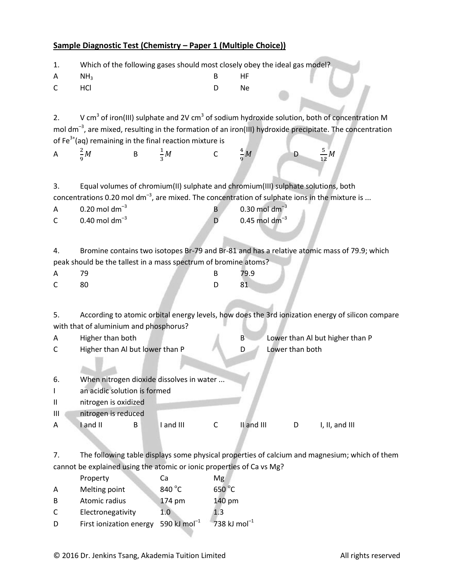## **Sample Diagnostic Test (Chemistry – Paper 1 (Multiple Choice))**

1. Which of the following gases should most closely obey the ideal gas model?

| Α              | NH <sub>3</sub>                                                                   |          |                | B            | HF                          |                 |                                                                                                                       |  |
|----------------|-----------------------------------------------------------------------------------|----------|----------------|--------------|-----------------------------|-----------------|-----------------------------------------------------------------------------------------------------------------------|--|
| С              | HCI                                                                               |          |                | D            | <b>Ne</b>                   |                 |                                                                                                                       |  |
|                |                                                                                   |          |                |              |                             |                 |                                                                                                                       |  |
|                |                                                                                   |          |                |              |                             |                 |                                                                                                                       |  |
| 2.             |                                                                                   |          |                |              |                             |                 | V cm <sup>3</sup> of iron(III) sulphate and 2V cm <sup>3</sup> of sodium hydroxide solution, both of concentration M  |  |
|                |                                                                                   |          |                |              |                             |                 | mol dm <sup>-3</sup> , are mixed, resulting in the formation of an iron(III) hydroxide precipitate. The concentration |  |
|                | of $Fe^{3+}(aq)$ remaining in the final reaction mixture is                       |          |                |              |                             |                 |                                                                                                                       |  |
| $\overline{A}$ | $\frac{2}{9}M$                                                                    | $\sf{B}$ | $\frac{1}{2}M$ | $\mathsf{C}$ | $\frac{4}{9}M$              | D               | $rac{5}{12}M$                                                                                                         |  |
|                |                                                                                   |          |                |              |                             |                 |                                                                                                                       |  |
|                |                                                                                   |          |                |              |                             |                 |                                                                                                                       |  |
| 3.             | Equal volumes of chromium(II) sulphate and chromium(III) sulphate solutions, both |          |                |              |                             |                 |                                                                                                                       |  |
|                |                                                                                   |          |                |              |                             |                 | concentrations 0.20 mol dm <sup>-3</sup> , are mixed. The concentration of sulphate ions in the mixture is            |  |
| A              | $0.20$ mol dm <sup>-3</sup>                                                       |          |                | $\mathsf{B}$ | $0.30$ mol dm <sup>-3</sup> |                 |                                                                                                                       |  |
| C              | $0.40$ mol dm <sup>-3</sup>                                                       |          |                | D            | $0.45$ mol dm <sup>-3</sup> |                 |                                                                                                                       |  |
|                |                                                                                   |          |                |              |                             |                 |                                                                                                                       |  |
|                |                                                                                   |          |                |              |                             |                 |                                                                                                                       |  |
| 4.             |                                                                                   |          |                |              |                             |                 | Bromine contains two isotopes Br-79 and Br-81 and has a relative atomic mass of 79.9; which                           |  |
|                | peak should be the tallest in a mass spectrum of bromine atoms?                   |          |                |              |                             |                 |                                                                                                                       |  |
| A              | 79                                                                                |          |                | B            | 79.9                        |                 |                                                                                                                       |  |
| C              | 80                                                                                |          |                | D            | 81                          |                 |                                                                                                                       |  |
|                |                                                                                   |          |                |              |                             |                 |                                                                                                                       |  |
| 5.             |                                                                                   |          |                |              |                             |                 | According to atomic orbital energy levels, how does the 3rd ionization energy of silicon compare                      |  |
|                | with that of aluminium and phosphorus?                                            |          |                |              |                             |                 |                                                                                                                       |  |
| Α              | Higher than both                                                                  |          |                |              | $\mathsf B$                 |                 | Lower than Al but higher than P                                                                                       |  |
| C              | Higher than Al but lower than P                                                   |          |                |              | D                           | Lower than both |                                                                                                                       |  |
|                |                                                                                   |          |                |              |                             |                 |                                                                                                                       |  |
|                |                                                                                   |          |                |              |                             |                 |                                                                                                                       |  |
| 6.             | When nitrogen dioxide dissolves in water                                          |          |                |              |                             |                 |                                                                                                                       |  |
|                | an acidic solution is formed                                                      |          |                |              |                             |                 |                                                                                                                       |  |
| $\mathbf{I}$   | nitrogen is oxidized                                                              |          |                |              |                             |                 |                                                                                                                       |  |
| $\mathbf{III}$ | nitrogen is reduced                                                               |          |                |              |                             |                 |                                                                                                                       |  |
| A              | I and II                                                                          | B        | I and III      | $\mathsf{C}$ | II and III                  | D               | I, II, and III                                                                                                        |  |
|                |                                                                                   |          |                |              |                             |                 |                                                                                                                       |  |
|                |                                                                                   |          |                |              |                             |                 |                                                                                                                       |  |

7. The following table displays some physical properties of calcium and magnesium; which of them cannot be explained using the atomic or ionic properties of Ca vs Mg?

|              | Property                | Ca                       | Mg                       |
|--------------|-------------------------|--------------------------|--------------------------|
| A            | Melting point           | 840 °C                   | 650 °C                   |
| <sup>B</sup> | Atomic radius           | 174 pm                   | 140 pm                   |
| C            | Electronegativity       | 1.0                      | 1.3                      |
| D            | First ionization energy | 590 kJ mol <sup>-1</sup> | 738 kJ mol <sup>-1</sup> |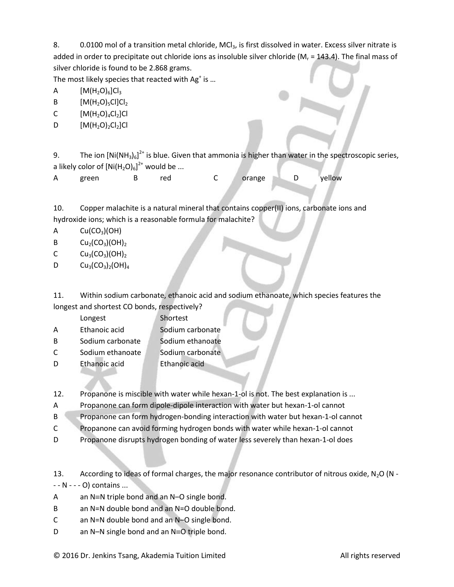8. 0.0100 mol of a transition metal chloride, MCl<sub>3</sub>, is first dissolved in water. Excess silver nitrate is added in order to precipitate out chloride ions as insoluble silver chloride ( $M_r = 143.4$ ). The final mass of silver chloride is found to be 2.868 grams.

The most likely species that reacted with Ag<sup>+</sup> is ...

A  $[M(H_2O)_6]Cl_3$ 

B  $[M(H_2O)_5Cl]Cl_2$ 

- C  $[M(H_2O)_4Cl_2]Cl$
- D  $[M(H_2O)_2Cl_2]Cl$

9. The ion  $[Ni(NH_3)_6]^{2+}$  is blue. Given that ammonia is higher than water in the spectroscopic series, a likely color of  $\left[\mathsf{Ni}(\mathsf{H}_2\mathsf{O})_6\right]^{2+}$  would be ...

| A | green |  | red |  | orange |  | yellow |
|---|-------|--|-----|--|--------|--|--------|
|---|-------|--|-----|--|--------|--|--------|

10. Copper malachite is a natural mineral that contains copper(II) ions, carbonate ions and hydroxide ions; which is a reasonable formula for malachite?

 $A$  Cu(CO<sub>3</sub>)(OH)

- B  $Cu_2(CO_3)(OH)_2$
- C  $Cu_3(CO_3)(OH)_2$
- D  $Cu_3(CO_3)_2(OH)_4$

11. Within sodium carbonate, ethanoic acid and sodium ethanoate, which species features the longest and shortest CO bonds, respectively?

|   | Longest          | Shortest         |
|---|------------------|------------------|
| А | Ethanoic acid    | Sodium carbonate |
| B | Sodium carbonate | Sodium ethanoate |
| C | Sodium ethanoate | Sodium carbonate |

- D Ethanoic acid Ethanoic acid
- 12. Propanone is miscible with water while hexan-1-ol is not. The best explanation is ...
- A Propanone can form dipole-dipole interaction with water but hexan-1-ol cannot
- B Propanone can form hydrogen-bonding interaction with water but hexan-1-ol cannot
- C Propanone can avoid forming hydrogen bonds with water while hexan-1-ol cannot
- D Propanone disrupts hydrogen bonding of water less severely than hexan-1-ol does

13. According to ideas of formal charges, the major resonance contributor of nitrous oxide,  $N_2O (N - 1)$ - - N - - - O) contains ...

- A an  $N=N$  triple bond and an  $N-O$  single bond.
- B an N=N double bond and an N=O double bond.
- C an N=N double bond and an N–O single bond.
- D an N-N single bond and an  $N=O$  triple bond.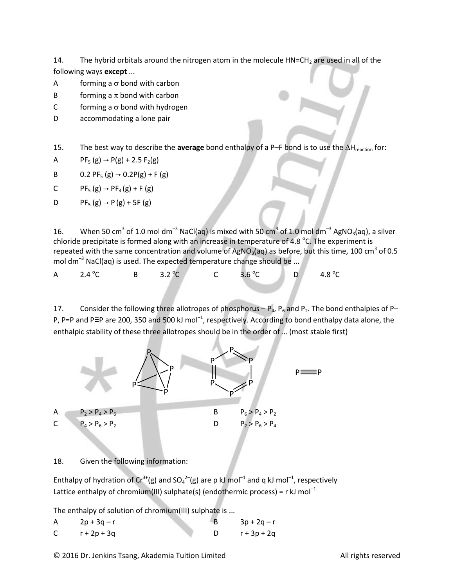14. The hybrid orbitals around the nitrogen atom in the molecule  $HN=CH<sub>2</sub>$  are used in all of the following ways **except** ...

- A forming a  $\sigma$  bond with carbon
- B forming a  $\pi$  bond with carbon
- C forming a  $\sigma$  bond with hydrogen
- D accommodating a lone pair

15. The best way to describe the **average** bond enthalpy of a P–F bond is to use the  $\Delta H_{\text{reaction}}$  for:

A PF<sub>5</sub> (g)  $\rightarrow$  P(g) + 2.5 F<sub>2</sub>(g)

- B 0.2 PF<sub>5</sub> (g)  $\rightarrow$  0.2P(g) + F (g)
- C  $PF_5(g) \to PF_4(g) + F(g)$
- D  $PF_5(g) \rightarrow P(g) + 5F(g)$

16. When 50 cm<sup>3</sup> of 1.0 mol dm<sup>-3</sup> NaCl(aq) is mixed with 50 cm<sup>3</sup> of 1.0 mol dm<sup>-3</sup> AgNO<sub>3</sub>(aq), a silver chloride precipitate is formed along with an increase in temperature of 4.8  $^{\circ}$ C. The experiment is repeated with the same concentration and volume of AgNO<sub>3</sub>(aq) as before, but this time, 100 cm<sup>3</sup> of 0.5 mol dm<sup>-3</sup> NaCl(aq) is used. The expected temperature change should be ...

| A $2.4\,^{\circ}$ C | B $3.2^{\circ}C$ | C $3.6^{\circ}$ C |  | $D$ 4.8 °C |
|---------------------|------------------|-------------------|--|------------|
|---------------------|------------------|-------------------|--|------------|

17. Consider the following three allotropes of phosphorus –  $P_4$ ,  $P_6$  and  $P_2$ . The bond enthalpies of P– P, P=P and P≡P are 200, 350 and 500 kJ mol<sup>-1</sup>, respectively. According to bond enthalpy data alone, the enthalpic stability of these three allotropes should be in the order of … (most stable first)



18. Given the following information:

Enthalpy of hydration of Cr<sup>3+</sup>(g) and SO<sub>4</sub><sup>2-</sup>(g) are p kJ mol<sup>-1</sup> and q kJ mol<sup>-1</sup>, respectively Lattice enthalpy of chromium(III) sulphate(s) (endothermic process) = r kJ mol<sup>-1</sup>

The enthalpy of solution of chromium(III) sulphate is ...

| $2p + 3q - r$ | $3p + 2q - r$ |
|---------------|---------------|
| $r + 2p + 3q$ | $r + 3p + 2q$ |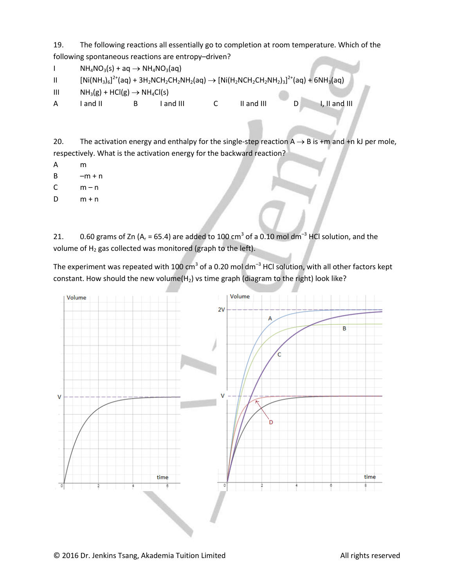19. The following reactions all essentially go to completion at room temperature. Which of the following spontaneous reactions are entropy–driven?

I  $NH_4NO_3(s) + aq \rightarrow NH_4NO_3(aq)$ II  $[Ni(NH_3)_6]^{2*}$ (aq) + 3H<sub>2</sub>NCH<sub>2</sub>CH<sub>2</sub>NH<sub>2</sub>(aq)  $\rightarrow$  [Ni(H<sub>2</sub>NCH<sub>2</sub>CH<sub>2</sub>NH<sub>2</sub>)<sub>3</sub>]<sup>2+</sup>(aq) + 6NH<sub>3</sub>(aq) III  $NH_3(g) + HCl(g) \rightarrow NH_4Cl(s)$ A I and II B I and III C II and III D I, II and III

20. The activation energy and enthalpy for the single-step reaction  $A \rightarrow B$  is +m and +n kJ per mole, respectively. What is the activation energy for the backward reaction?

- A m
- $B \longrightarrow m + n$
- $C$   $m n$
- $D$   $m + n$

21.  $0.60$  grams of Zn (A<sub>r</sub> = 65.4) are added to 100 cm<sup>3</sup> of a 0.10 mol dm<sup>-3</sup> HCl solution, and the volume of  $H_2$  gas collected was monitored (graph to the left).

The experiment was repeated with 100 cm<sup>3</sup> of a 0.20 mol dm<sup>-3</sup> HCl solution, with all other factors kept constant. How should the new volume( $H_2$ ) vs time graph (diagram to the right) look like?

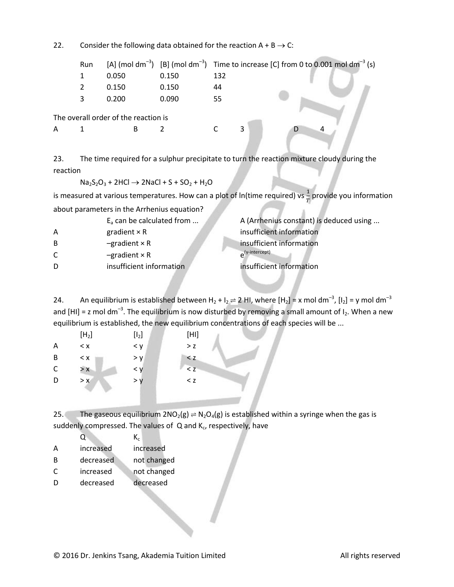22. Consider the following data obtained for the reaction  $A + B \rightarrow C$ :

|   | Run |                                      |       |     |   | [A] (mol dm <sup>-3</sup> ) [B] (mol dm <sup>-3</sup> ) Time to increase [C] from 0 to 0.001 mol dm <sup>-3</sup> (s) |
|---|-----|--------------------------------------|-------|-----|---|-----------------------------------------------------------------------------------------------------------------------|
|   |     | 0.050                                | 0.150 | 132 |   |                                                                                                                       |
|   | 2   | 0.150                                | 0.150 | 44  |   |                                                                                                                       |
|   | 3   | 0.200                                | 0.090 | 55  |   |                                                                                                                       |
|   |     | The overall order of the reaction is |       |     |   |                                                                                                                       |
| А |     | B                                    |       |     | 3 |                                                                                                                       |
|   |     |                                      |       |     |   |                                                                                                                       |

23. The time required for a sulphur precipitate to turn the reaction mixture cloudy during the reaction

 $Na<sub>2</sub>S<sub>2</sub>O<sub>3</sub> + 2HCl \rightarrow 2NaCl + S + SO<sub>2</sub> + H<sub>2</sub>O$ 

is measured at various temperatures. How can a plot of ln(time required) vs  $\frac{1}{T}$  provide you information about parameters in the Arrhenius equation?

|    | $E_a$ can be calculated from | A (Arrhenius constant) is deduced using |
|----|------------------------------|-----------------------------------------|
| А  | gradient $\times$ R          | insufficient information                |
| B  | $-$ gradient $\times$ R      | insufficient information                |
| C. | $-$ gradient $\times$ R      | $\rho^{(y-intercept)}$                  |
| D  | insufficient information     | insufficient information                |
|    |                              |                                         |

24. An equilibrium is established between H<sub>2</sub> + I<sub>2</sub>  $\rightleftharpoons$  2 HI, where [H<sub>2</sub>] = x mol dm<sup>-3</sup>, [I<sub>2</sub>] = y mol dm<sup>-3</sup> and [HI] = z mol dm<sup>-3</sup>. The equilibrium is now disturbed by removing a small amount of I<sub>2</sub>. When a new equilibrium is established, the new equilibrium concentrations of each species will be ...

|   | [H <sub>2</sub> ] | [I <sub>2</sub> ] | $[H1]$ |  |
|---|-------------------|-------------------|--------|--|
| A | < x               | < y               | > z    |  |
| B | < x               | > y               | < z    |  |
| C | > x               | < y               | < z    |  |
| D | > x               | > y               | < z    |  |
|   |                   |                   |        |  |

25. The gaseous equilibrium  $2NO_2(g) \rightleftharpoons N_2O_4(g)$  is established within a syringe when the gas is suddenly compressed. The values of  $\,$  Q and K<sub>c</sub>, respectively, have

 $Q \hspace{1.5cm} K_c$ 

- A increased increased
- B decreased not changed
- C increased not changed
- D decreased decreased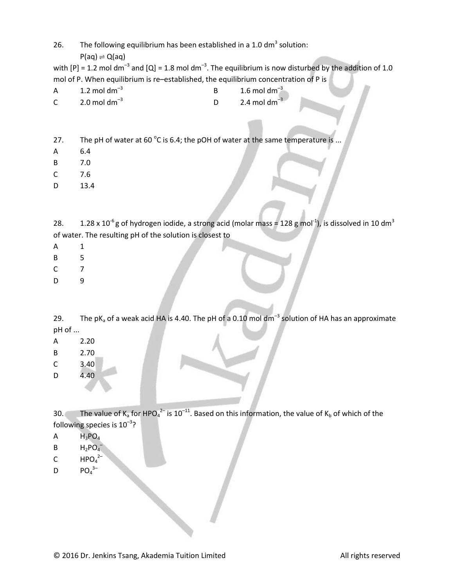26. The following equilibrium has been established in a 1.0 dm<sup>3</sup> solution:

 $P(aq) \rightleftharpoons Q(aq)$ 

with [P] = 1.2 mol dm<sup>-3</sup> and [Q] = 1.8 mol dm<sup>-3</sup>. The equilibrium is now disturbed by the addition of 1.0 mol of P. When equilibrium is re–established, the equilibrium concentration of P is

- A  $1.2 \text{ mol dm}^{-3}$ B  $1.6 \text{ mol dm}^{-3}$
- C 2.0 mol dm<sup>-3</sup> D 2.4 mol dm<sup>-3</sup>
- 27. The pH of water at 60  $^{\circ}$ C is 6.4; the pOH of water at the same temperature is ...
- A 6.4
- B 7.0
- C 7.6
- D 13.4

28.  $1.28 \times 10^{-6}$ g of hydrogen iodide, a strong acid (molar mass = 128 g mol<sup>-1</sup>), is dissolved in 10 dm<sup>3</sup> of water. The resulting pH of the solution is closest to

- A 1
- B 5
- C 7
- D 9

29. The pK<sub>a</sub> of a weak acid HA is 4.40. The pH of a 0.10 mol dm<sup>-3</sup> solution of HA has an approximate pH of ...

- A 2.20
- B 2.70
- C 3.40
- D 4.40

30. The value of K<sub>a</sub> for HPO<sub>4</sub><sup>2-</sup> is 10<sup>-11</sup>. Based on this information, the value of K<sub>b</sub> of which of the following species is  $10^{-3}$ ?

- $A$   $H_3PO_4$
- B  $H_2PO_4^-$
- C  $HPO<sub>4</sub><sup>2–</sup>$
- D  $PO_4^{3-}$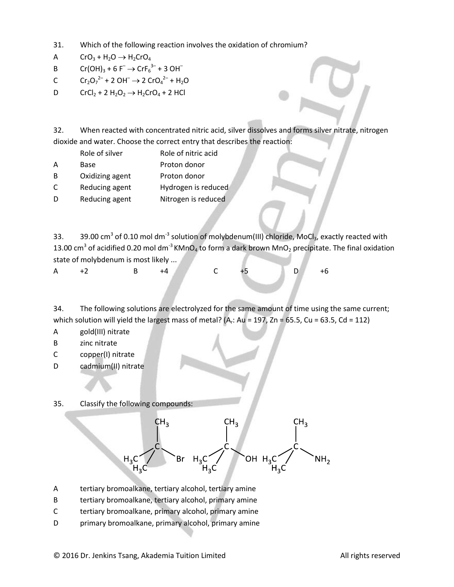- 31. Which of the following reaction involves the oxidation of chromium?
- A  $CrO_3 + H_2O \rightarrow H_2CrO_4$
- B  $Cr(OH)_3 + 6 F^- \rightarrow CrF_6^{3-} + 3 OH^-$
- C  $\text{Cr}_2\text{O}_7^2$  + 2 OH<sup>-</sup>  $\rightarrow$  2 CrO<sub>4</sub><sup>2-</sup> + H<sub>2</sub>O
- D  $CrCl_2 + 2 H_2O_2 \rightarrow H_2CrO_4 + 2 HCl$

32. When reacted with concentrated nitric acid, silver dissolves and forms silver nitrate, nitrogen dioxide and water. Choose the correct entry that describes the reaction:

- Role of silver Role of nitric acid
- A Base Proton donor
- B Oxidizing agent Proton donor
- C Reducing agent Hydrogen is reduced
- D Reducing agent Nitrogen is reduced

33. 39.00 cm<sup>3</sup> of 0.10 mol dm<sup>-3</sup> solution of molybdenum(III) chloride, MoCl<sub>3</sub>, exactly reacted with 13.00 cm<sup>3</sup> of acidified 0.20 mol dm<sup>-3</sup> KMnO<sub>4</sub> to form a dark brown MnO<sub>2</sub> precipitate. The final oxidation state of molybdenum is most likely ...

A +2 B +4 C +5 D +6

34. The following solutions are electrolyzed for the same amount of time using the same current; which solution will yield the largest mass of metal? (A<sub>r</sub>: Au = 197, Zn = 65.5, Cu = 63.5, Cd = 112)

- A gold(III) nitrate
- B zinc nitrate
- C copper(I) nitrate
- D cadmium(II) nitrate

35. Classify the following compounds:



- A tertiary bromoalkane, tertiary alcohol, tertiary amine
- B tertiary bromoalkane, tertiary alcohol, primary amine
- C tertiary bromoalkane, primary alcohol, primary amine
- D primary bromoalkane, primary alcohol, primary amine